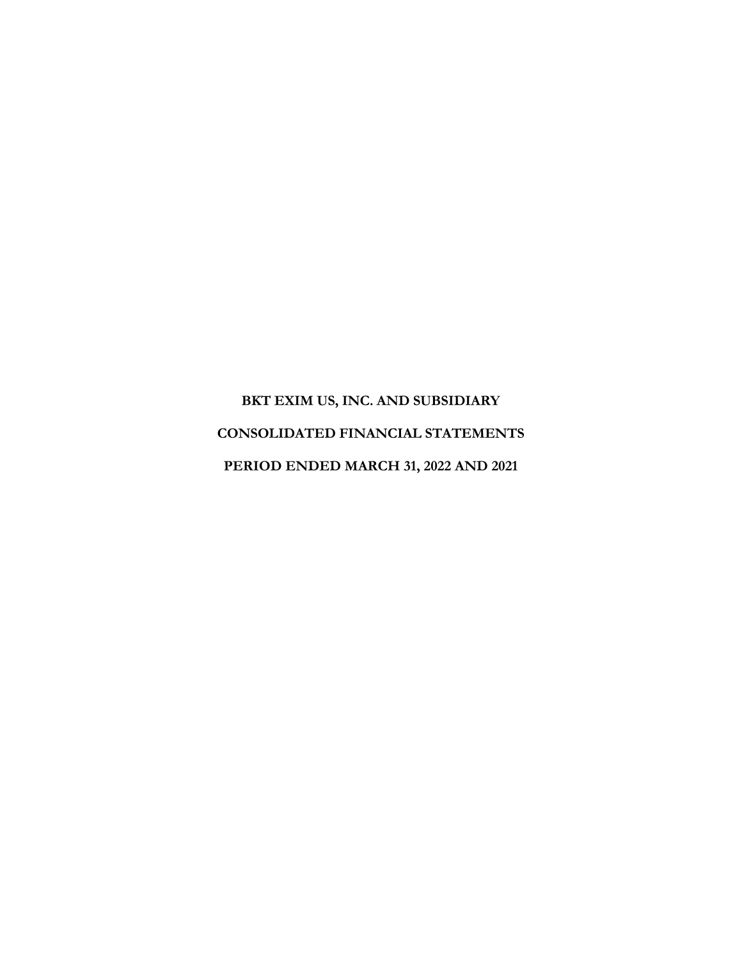**BKT EXIM US, INC. AND SUBSIDIARY CONSOLIDATED FINANCIAL STATEMENTS PERIOD ENDED MARCH 31, 2022 AND 2021**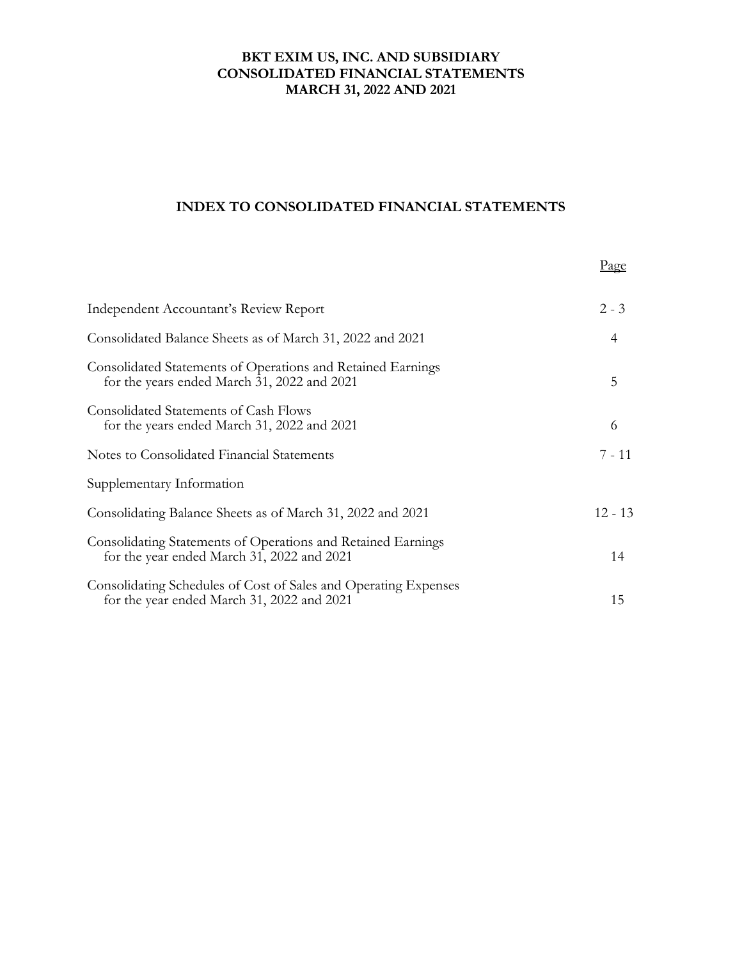# **BKT EXIM US, INC. AND SUBSIDIARY CONSOLIDATED FINANCIAL STATEMENTS MARCH 31, 2022 AND 2021**

# **INDEX TO CONSOLIDATED FINANCIAL STATEMENTS**

|                                                                                                               | <u>Page</u>    |
|---------------------------------------------------------------------------------------------------------------|----------------|
| Independent Accountant's Review Report                                                                        | $2 - 3$        |
| Consolidated Balance Sheets as of March 31, 2022 and 2021                                                     | $\overline{4}$ |
| Consolidated Statements of Operations and Retained Earnings<br>for the years ended March 31, 2022 and 2021    | 5              |
| Consolidated Statements of Cash Flows<br>for the years ended March 31, 2022 and 2021                          | 6              |
| Notes to Consolidated Financial Statements                                                                    | $7 - 11$       |
| Supplementary Information                                                                                     |                |
| Consolidating Balance Sheets as of March 31, 2022 and 2021                                                    | $12 - 13$      |
| Consolidating Statements of Operations and Retained Earnings<br>for the year ended March 31, 2022 and 2021    | 14             |
| Consolidating Schedules of Cost of Sales and Operating Expenses<br>for the year ended March 31, 2022 and 2021 | 15             |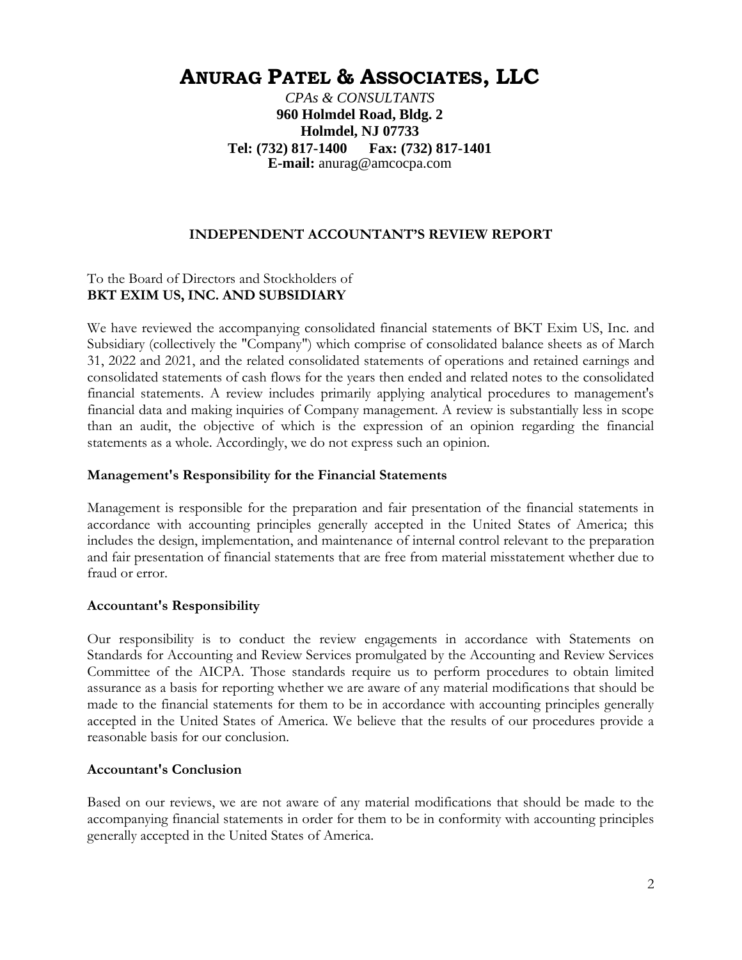# **ANURAG PATEL & ASSOCIATES, LLC**

*CPAs & CONSULTANTS* **960 Holmdel Road, Bldg. 2 Holmdel, NJ 07733 Tel: (732) 817-1400 Fax: (732) 817-1401 E-mail:** anurag@amcocpa.com

# **INDEPENDENT ACCOUNTANT'S REVIEW REPORT**

# To the Board of Directors and Stockholders of **BKT EXIM US, INC. AND SUBSIDIARY**

We have reviewed the accompanying consolidated financial statements of BKT Exim US, Inc. and Subsidiary (collectively the "Company") which comprise of consolidated balance sheets as of March 31, 2022 and 2021, and the related consolidated statements of operations and retained earnings and consolidated statements of cash flows for the years then ended and related notes to the consolidated financial statements. A review includes primarily applying analytical procedures to management's financial data and making inquiries of Company management. A review is substantially less in scope than an audit, the objective of which is the expression of an opinion regarding the financial statements as a whole. Accordingly, we do not express such an opinion.

# **Management's Responsibility for the Financial Statements**

Management is responsible for the preparation and fair presentation of the financial statements in accordance with accounting principles generally accepted in the United States of America; this includes the design, implementation, and maintenance of internal control relevant to the preparation and fair presentation of financial statements that are free from material misstatement whether due to fraud or error.

#### **Accountant's Responsibility**

Our responsibility is to conduct the review engagements in accordance with Statements on Standards for Accounting and Review Services promulgated by the Accounting and Review Services Committee of the AICPA. Those standards require us to perform procedures to obtain limited assurance as a basis for reporting whether we are aware of any material modifications that should be made to the financial statements for them to be in accordance with accounting principles generally accepted in the United States of America. We believe that the results of our procedures provide a reasonable basis for our conclusion.

#### **Accountant's Conclusion**

Based on our reviews, we are not aware of any material modifications that should be made to the accompanying financial statements in order for them to be in conformity with accounting principles generally accepted in the United States of America.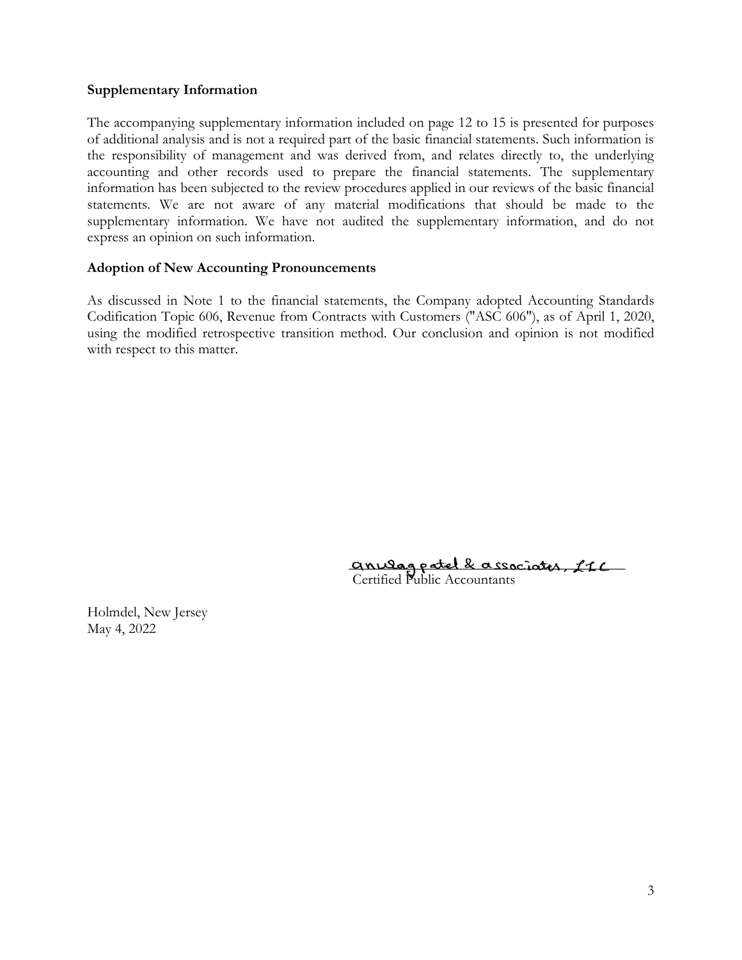# **Supplementary Information**

The accompanying supplementary information included on page 12 to 15 is presented for purposes of additional analysis and is not a required part of the basic financial statements. Such information is the responsibility of management and was derived from, and relates directly to, the underlying accounting and other records used to prepare the financial statements. The supplementary information has been subjected to the review procedures applied in our reviews of the basic financial statements. We are not aware of any material modifications that should be made to the supplementary information. We have not audited the supplementary information, and do not express an opinion on such information.

#### **Adoption of New Accounting Pronouncements**

As discussed in Note 1 to the financial statements, the Company adopted Accounting Standards Codification Topic 606, Revenue from Contracts with Customers ("ASC 606"), as of April 1, 2020, using the modified retrospective transition method. Our conclusion and opinion is not modified with respect to this matter.

> anulageatel & associates,  $f1C$ Certified Public Accountants

Holmdel, New Jersey May 4, 2022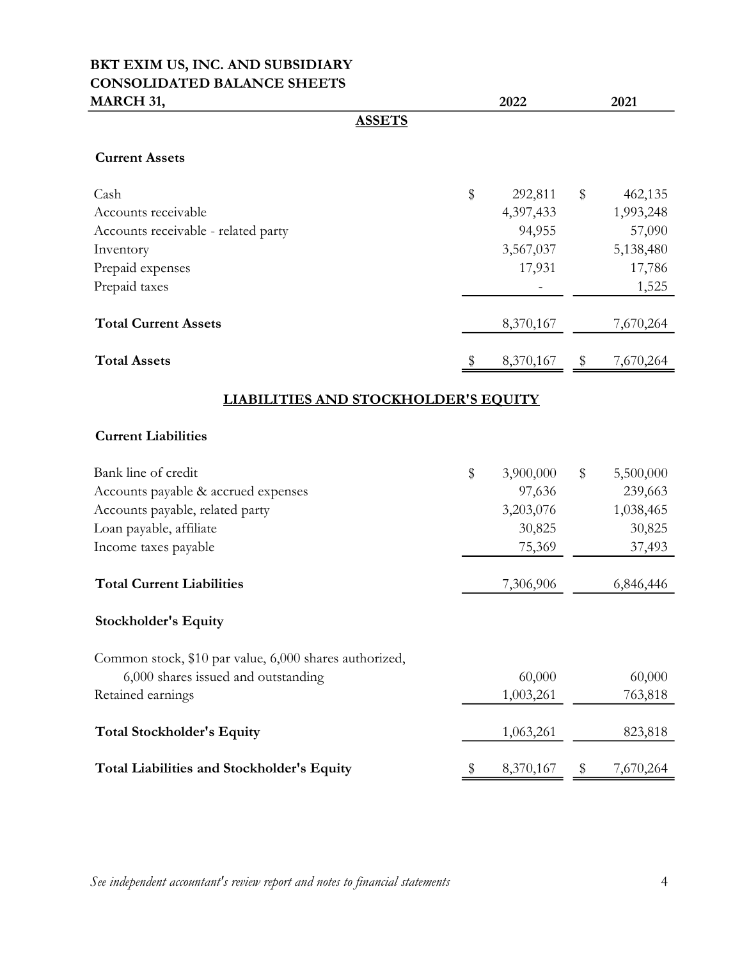# BKT EXIM US, INC. AND SUBSIDIARY CONSOLIDATED BALANCE SHEETS

| <b>MARCH 31,</b>                                       | 2022            |    | 2021      |
|--------------------------------------------------------|-----------------|----|-----------|
| <b>ASSETS</b>                                          |                 |    |           |
| <b>Current Assets</b>                                  |                 |    |           |
| Cash                                                   | \$<br>292,811   | \$ | 462,135   |
| Accounts receivable                                    | 4,397,433       |    | 1,993,248 |
| Accounts receivable - related party                    | 94,955          |    | 57,090    |
| Inventory                                              | 3,567,037       |    | 5,138,480 |
| Prepaid expenses                                       | 17,931          |    | 17,786    |
| Prepaid taxes                                          |                 |    | 1,525     |
| <b>Total Current Assets</b>                            | 8,370,167       |    | 7,670,264 |
| <b>Total Assets</b>                                    | \$<br>8,370,167 | \$ | 7,670,264 |
| <b>LIABILITIES AND STOCKHOLDER'S EQUITY</b>            |                 |    |           |
| <b>Current Liabilities</b>                             |                 |    |           |
| Bank line of credit                                    | \$<br>3,900,000 | \$ | 5,500,000 |
| Accounts payable & accrued expenses                    | 97,636          |    | 239,663   |
| Accounts payable, related party                        | 3,203,076       |    | 1,038,465 |
| Loan payable, affiliate                                | 30,825          |    | 30,825    |
| Income taxes payable                                   | 75,369          |    | 37,493    |
| <b>Total Current Liabilities</b>                       | 7,306,906       |    | 6,846,446 |
| <b>Stockholder's Equity</b>                            |                 |    |           |
| Common stock, \$10 par value, 6,000 shares authorized, |                 |    |           |
| 6,000 shares issued and outstanding                    | 60,000          |    | 60,000    |
| Retained earnings                                      | 1,003,261       |    | 763,818   |
| <b>Total Stockholder's Equity</b>                      | 1,063,261       |    | 823,818   |
| Total Liabilities and Stockholder's Equity             | \$<br>8,370,167 | ₩  | 7,670,264 |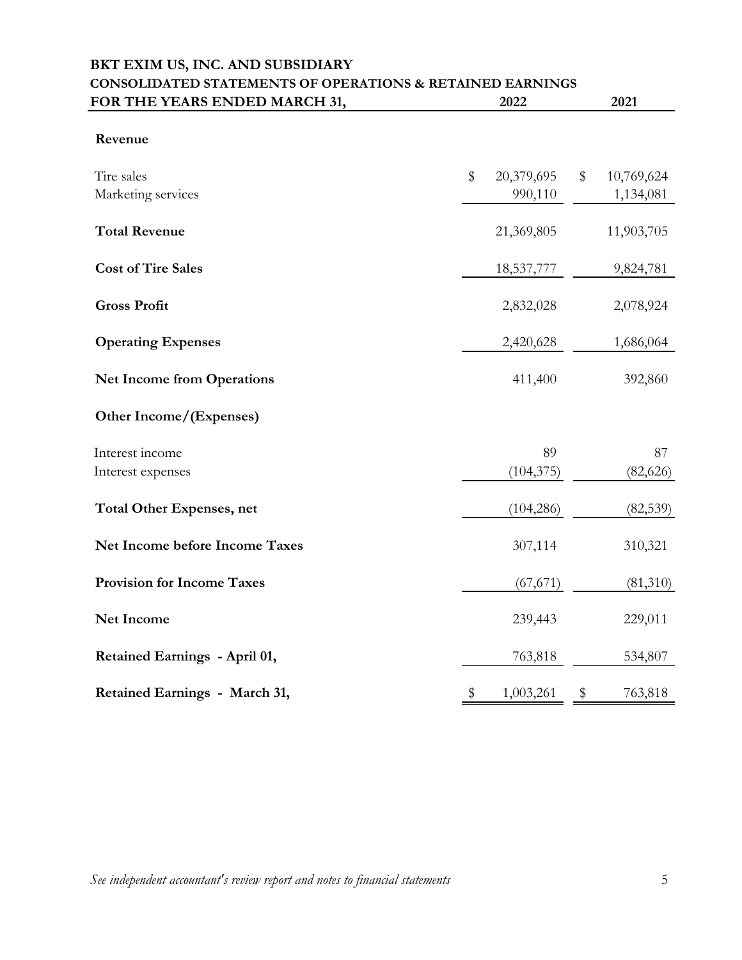# **BKT EXIM US, INC. AND SUBSIDIARY CONSOLIDATED STATEMENTS OF OPERATIONS & RETAINED EARNINGS FOR THE YEARS ENDED MARCH 31, 2022 2021**

# **Revenue** Tire sales  $$ 20,379,695 $ 10,769,624$ Marketing services 990,110 1,134,081 **Total Revenue** 21,369,805 11,903,705 **Cost of Tire Sales** 18,537,777 9,824,781 **Gross Profit** 2,832,028 2,078,924 **Operating Expenses** 2,420,628 1,686,064 **Net Income from Operations** 411,400 392,860 **Other Income/(Expenses)** Interest income 89 87 Interest expenses (104,375) (82,626) **Total Other Expenses, net** (104,286) (82,539) **Net Income before Income Taxes** 307,114 310,321 **Provision for Income Taxes** (67,671) (81,310) **Net Income** 239,443 229,011 **Retained Earnings - April 01, 2008 763,818 534,807 Retained Earnings - March 31, <br>
\$ 1,003,261 \$ 763,818**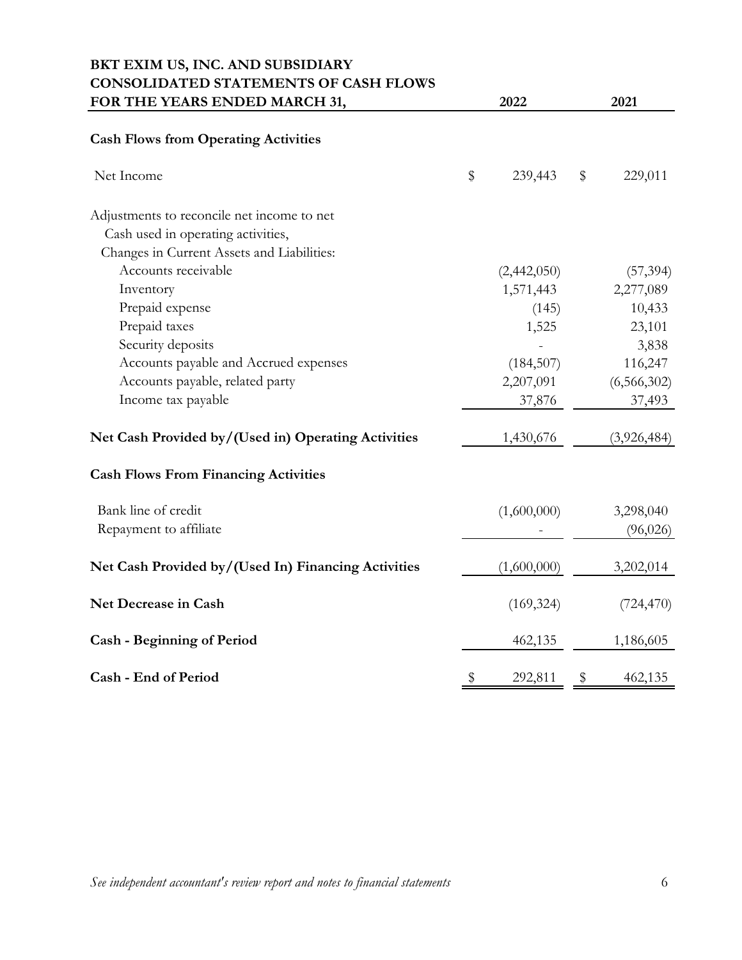# **FOR THE VEARS ENDED MARCH 31** 2022 2021 **BKT EXIM US, INC. AND SUBSIDIARY CONSOLIDATED STATEMENTS OF CASH FLOWS**

| FUN THE TEANS EINDED MANUA 31,                      | ZUZZ          | ZUZI          |
|-----------------------------------------------------|---------------|---------------|
| <b>Cash Flows from Operating Activities</b>         |               |               |
| Net Income                                          | \$<br>239,443 | \$<br>229,011 |
| Adjustments to reconcile net income to net          |               |               |
| Cash used in operating activities,                  |               |               |
| Changes in Current Assets and Liabilities:          |               |               |
| Accounts receivable                                 | (2,442,050)   | (57, 394)     |
| Inventory                                           | 1,571,443     | 2,277,089     |
| Prepaid expense                                     | (145)         | 10,433        |
| Prepaid taxes                                       | 1,525         | 23,101        |
| Security deposits                                   |               | 3,838         |
| Accounts payable and Accrued expenses               | (184, 507)    | 116,247       |
| Accounts payable, related party                     | 2,207,091     | (6,566,302)   |
| Income tax payable                                  | 37,876        | 37,493        |
| Net Cash Provided by/(Used in) Operating Activities | 1,430,676     | (3,926,484)   |
| <b>Cash Flows From Financing Activities</b>         |               |               |
| Bank line of credit                                 | (1,600,000)   | 3,298,040     |
| Repayment to affiliate                              |               | (96, 026)     |
| Net Cash Provided by/(Used In) Financing Activities | (1,600,000)   | 3,202,014     |
| Net Decrease in Cash                                | (169, 324)    | (724, 470)    |
| <b>Cash - Beginning of Period</b>                   | 462,135       | 1,186,605     |
| <b>Cash - End of Period</b>                         | \$<br>292,811 | \$<br>462,135 |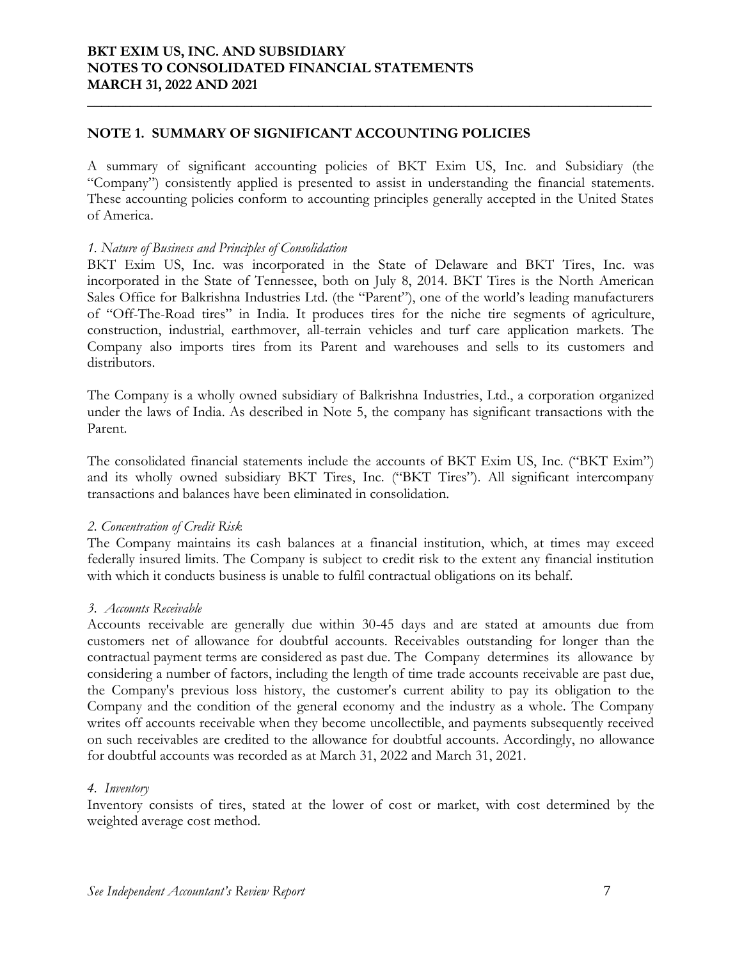# **BKT EXIM US, INC. AND SUBSIDIARY NOTES TO CONSOLIDATED FINANCIAL STATEMENTS MARCH 31, 2022 AND 2021**

# **NOTE 1. SUMMARY OF SIGNIFICANT ACCOUNTING POLICIES**

A summary of significant accounting policies of BKT Exim US, Inc. and Subsidiary (the "Company") consistently applied is presented to assist in understanding the financial statements. These accounting policies conform to accounting principles generally accepted in the United States of America.

**\_\_\_\_\_\_\_\_\_\_\_\_\_\_\_\_\_\_\_\_\_\_\_\_\_\_\_\_\_\_\_\_\_\_\_\_\_\_\_\_\_\_\_\_\_\_\_\_\_\_\_\_\_\_\_\_\_\_\_\_\_\_\_\_\_\_\_\_\_\_\_\_\_\_\_\_\_\_\_**

#### *1. Nature of Business and Principles of Consolidation*

BKT Exim US, Inc. was incorporated in the State of Delaware and BKT Tires, Inc. was incorporated in the State of Tennessee, both on July 8, 2014. BKT Tires is the North American Sales Office for Balkrishna Industries Ltd. (the "Parent"), one of the world's leading manufacturers of "Off-The-Road tires" in India. It produces tires for the niche tire segments of agriculture, construction, industrial, earthmover, all-terrain vehicles and turf care application markets. The Company also imports tires from its Parent and warehouses and sells to its customers and distributors.

The Company is a wholly owned subsidiary of Balkrishna Industries, Ltd., a corporation organized under the laws of India. As described in Note 5, the company has significant transactions with the Parent.

The consolidated financial statements include the accounts of BKT Exim US, Inc. ("BKT Exim") and its wholly owned subsidiary BKT Tires, Inc. ("BKT Tires"). All significant intercompany transactions and balances have been eliminated in consolidation.

#### *2. Concentration of Credit Risk*

The Company maintains its cash balances at a financial institution, which, at times may exceed federally insured limits. The Company is subject to credit risk to the extent any financial institution with which it conducts business is unable to fulfil contractual obligations on its behalf.

#### *3. Accounts Receivable*

Accounts receivable are generally due within 30-45 days and are stated at amounts due from customers net of allowance for doubtful accounts. Receivables outstanding for longer than the contractual payment terms are considered as past due. The Company determines its allowance by considering a number of factors, including the length of time trade accounts receivable are past due, the Company's previous loss history, the customer's current ability to pay its obligation to the Company and the condition of the general economy and the industry as a whole. The Company writes off accounts receivable when they become uncollectible, and payments subsequently received on such receivables are credited to the allowance for doubtful accounts. Accordingly, no allowance for doubtful accounts was recorded as at March 31, 2022 and March 31, 2021.

#### *4. Inventory*

Inventory consists of tires, stated at the lower of cost or market, with cost determined by the weighted average cost method.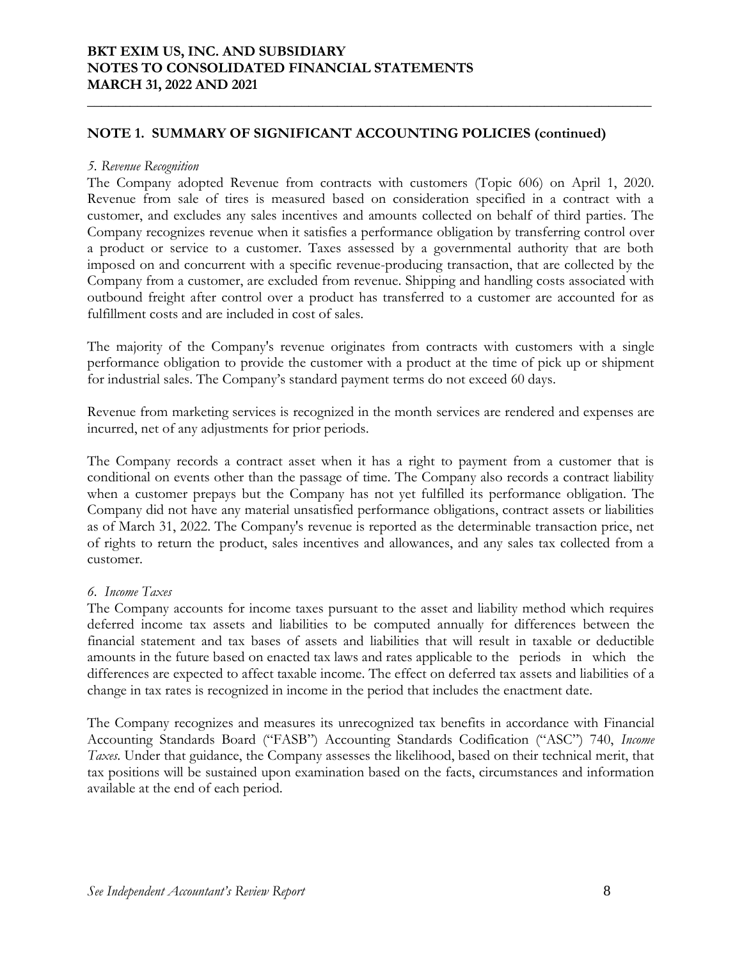# **BKT EXIM US, INC. AND SUBSIDIARY NOTES TO CONSOLIDATED FINANCIAL STATEMENTS MARCH 31, 2022 AND 2021**

# **NOTE 1. SUMMARY OF SIGNIFICANT ACCOUNTING POLICIES (continued)**

**\_\_\_\_\_\_\_\_\_\_\_\_\_\_\_\_\_\_\_\_\_\_\_\_\_\_\_\_\_\_\_\_\_\_\_\_\_\_\_\_\_\_\_\_\_\_\_\_\_\_\_\_\_\_\_\_\_\_\_\_\_\_\_\_\_\_\_\_\_\_\_\_\_\_\_\_\_\_\_**

#### *5. Revenue Recognition*

The Company adopted Revenue from contracts with customers (Topic 606) on April 1, 2020. Revenue from sale of tires is measured based on consideration specified in a contract with a customer, and excludes any sales incentives and amounts collected on behalf of third parties. The Company recognizes revenue when it satisfies a performance obligation by transferring control over a product or service to a customer. Taxes assessed by a governmental authority that are both imposed on and concurrent with a specific revenue-producing transaction, that are collected by the Company from a customer, are excluded from revenue. Shipping and handling costs associated with outbound freight after control over a product has transferred to a customer are accounted for as fulfillment costs and are included in cost of sales.

The majority of the Company's revenue originates from contracts with customers with a single performance obligation to provide the customer with a product at the time of pick up or shipment for industrial sales. The Company's standard payment terms do not exceed 60 days.

Revenue from marketing services is recognized in the month services are rendered and expenses are incurred, net of any adjustments for prior periods.

The Company records a contract asset when it has a right to payment from a customer that is conditional on events other than the passage of time. The Company also records a contract liability when a customer prepays but the Company has not yet fulfilled its performance obligation. The Company did not have any material unsatisfied performance obligations, contract assets or liabilities as of March 31, 2022. The Company's revenue is reported as the determinable transaction price, net of rights to return the product, sales incentives and allowances, and any sales tax collected from a customer.

# *6. Income Taxes*

The Company accounts for income taxes pursuant to the asset and liability method which requires deferred income tax assets and liabilities to be computed annually for differences between the financial statement and tax bases of assets and liabilities that will result in taxable or deductible amounts in the future based on enacted tax laws and rates applicable to the periods in which the differences are expected to affect taxable income. The effect on deferred tax assets and liabilities of a change in tax rates is recognized in income in the period that includes the enactment date.

The Company recognizes and measures its unrecognized tax benefits in accordance with Financial Accounting Standards Board ("FASB") Accounting Standards Codification ("ASC") 740, *Income Taxes*. Under that guidance, the Company assesses the likelihood, based on their technical merit, that tax positions will be sustained upon examination based on the facts, circumstances and information available at the end of each period.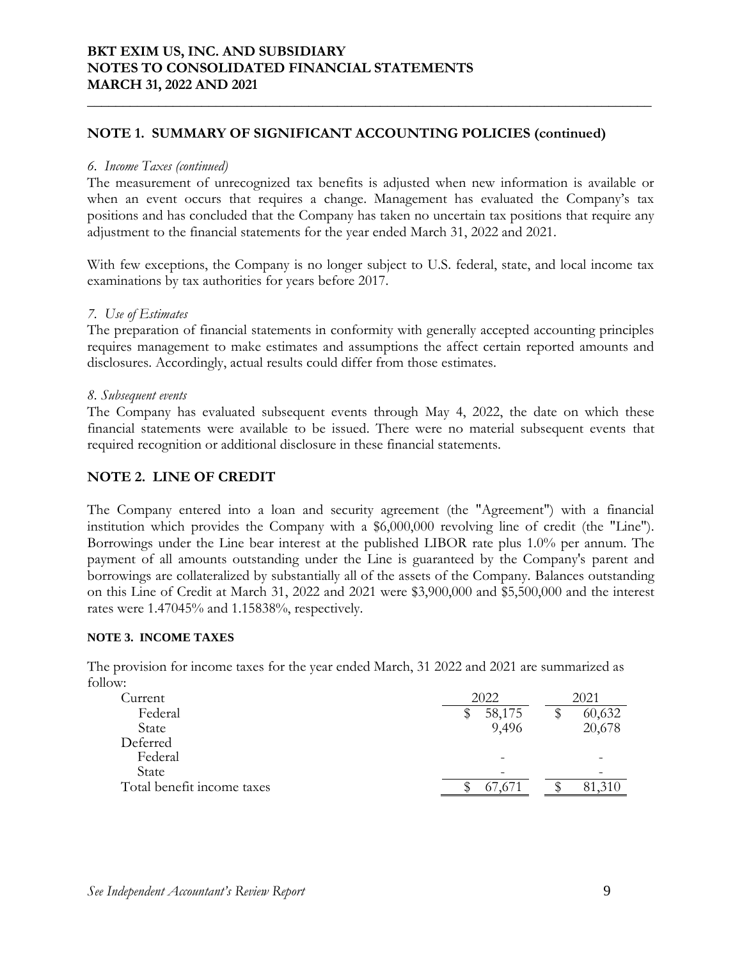# **BKT EXIM US, INC. AND SUBSIDIARY NOTES TO CONSOLIDATED FINANCIAL STATEMENTS MARCH 31, 2022 AND 2021**

# **NOTE 1. SUMMARY OF SIGNIFICANT ACCOUNTING POLICIES (continued)**

#### *6. Income Taxes (continued)*

The measurement of unrecognized tax benefits is adjusted when new information is available or when an event occurs that requires a change. Management has evaluated the Company's tax positions and has concluded that the Company has taken no uncertain tax positions that require any adjustment to the financial statements for the year ended March 31, 2022 and 2021.

**\_\_\_\_\_\_\_\_\_\_\_\_\_\_\_\_\_\_\_\_\_\_\_\_\_\_\_\_\_\_\_\_\_\_\_\_\_\_\_\_\_\_\_\_\_\_\_\_\_\_\_\_\_\_\_\_\_\_\_\_\_\_\_\_\_\_\_\_\_\_\_\_\_\_\_\_\_\_\_**

With few exceptions, the Company is no longer subject to U.S. federal, state, and local income tax examinations by tax authorities for years before 2017.

#### *7. Use of Estimates*

The preparation of financial statements in conformity with generally accepted accounting principles requires management to make estimates and assumptions the affect certain reported amounts and disclosures. Accordingly, actual results could differ from those estimates.

#### *8. Subsequent events*

The Company has evaluated subsequent events through May 4, 2022, the date on which these financial statements were available to be issued. There were no material subsequent events that required recognition or additional disclosure in these financial statements.

# **NOTE 2. LINE OF CREDIT**

The Company entered into a loan and security agreement (the "Agreement") with a financial institution which provides the Company with a \$6,000,000 revolving line of credit (the "Line"). Borrowings under the Line bear interest at the published LIBOR rate plus 1.0% per annum. The payment of all amounts outstanding under the Line is guaranteed by the Company's parent and borrowings are collateralized by substantially all of the assets of the Company. Balances outstanding on this Line of Credit at March 31, 2022 and 2021 were \$3,900,000 and \$5,500,000 and the interest rates were 1.47045% and 1.15838%, respectively.

#### **NOTE 3. INCOME TAXES**

The provision for income taxes for the year ended March, 31 2022 and 2021 are summarized as follow:

|        |      | 2021   |
|--------|------|--------|
| 58,175 |      | 60,632 |
| 9,496  |      | 20,678 |
|        |      |        |
|        |      |        |
|        |      |        |
| ' 671  |      |        |
|        | 2022 |        |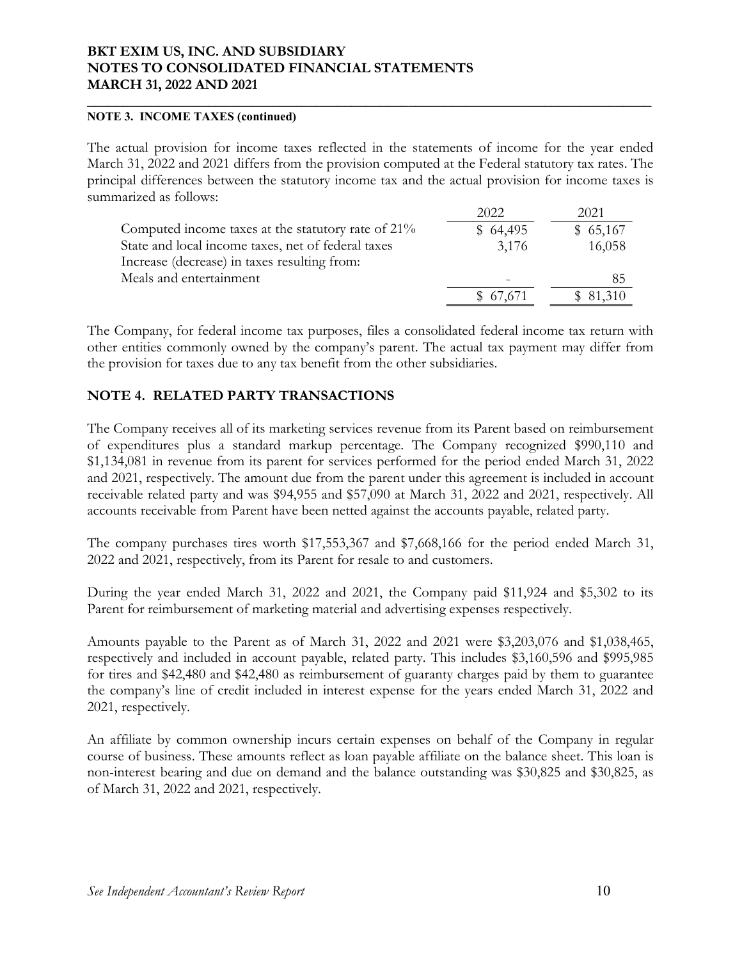# BKT EXIM US, INC. AND SUBSIDIARY NOTES TO CONSOLIDATED FINANCIAL STATEMENTS MARCH 31, 2022 AND 2021

#### NOTE 3. INCOME TAXES (continued)

The actual provision for income taxes reflected in the statements of income for the year ended March 31, 2022 and 2021 differs from the provision computed at the Federal statutory tax rates. The principal differences between the statutory income tax and the actual provision for income taxes is summarized as follows:

\_\_\_\_\_\_\_\_\_\_\_\_\_\_\_\_\_\_\_\_\_\_\_\_\_\_\_\_\_\_\_\_\_\_\_\_\_\_\_\_\_\_\_\_\_\_\_\_\_\_\_\_\_\_\_\_\_\_\_\_\_\_\_\_\_\_\_\_\_\_\_\_\_\_\_\_\_\_\_

|                                                    | 2022     | 2021     |
|----------------------------------------------------|----------|----------|
| Computed income taxes at the statutory rate of 21% | \$64,495 | \$65,167 |
| State and local income taxes, net of federal taxes | 3,176    | 16,058   |
| Increase (decrease) in taxes resulting from:       |          |          |
| Meals and entertainment                            |          | 85       |
|                                                    | \$67,671 | \$81,310 |

The Company, for federal income tax purposes, files a consolidated federal income tax return with other entities commonly owned by the company's parent. The actual tax payment may differ from the provision for taxes due to any tax benefit from the other subsidiaries.

# NOTE 4. RELATED PARTY TRANSACTIONS

The Company receives all of its marketing services revenue from its Parent based on reimbursement of expenditures plus a standard markup percentage. The Company recognized \$990,110 and \$1,134,081 in revenue from its parent for services performed for the period ended March 31, 2022 and 2021, respectively. The amount due from the parent under this agreement is included in account receivable related party and was \$94,955 and \$57,090 at March 31, 2022 and 2021, respectively. All accounts receivable from Parent have been netted against the accounts payable, related party.

The company purchases tires worth \$17,553,367 and \$7,668,166 for the period ended March 31, 2022 and 2021, respectively, from its Parent for resale to and customers.

During the year ended March 31, 2022 and 2021, the Company paid \$11,924 and \$5,302 to its Parent for reimbursement of marketing material and advertising expenses respectively.

Amounts payable to the Parent as of March 31, 2022 and 2021 were \$3,203,076 and \$1,038,465, respectively and included in account payable, related party. This includes \$3,160,596 and \$995,985 for tires and \$42,480 and \$42,480 as reimbursement of guaranty charges paid by them to guarantee the company's line of credit included in interest expense for the years ended March 31, 2022 and 2021, respectively.

An affiliate by common ownership incurs certain expenses on behalf of the Company in regular course of business. These amounts reflect as loan payable affiliate on the balance sheet. This loan is non-interest bearing and due on demand and the balance outstanding was \$30,825 and \$30,825, as of March 31, 2022 and 2021, respectively.